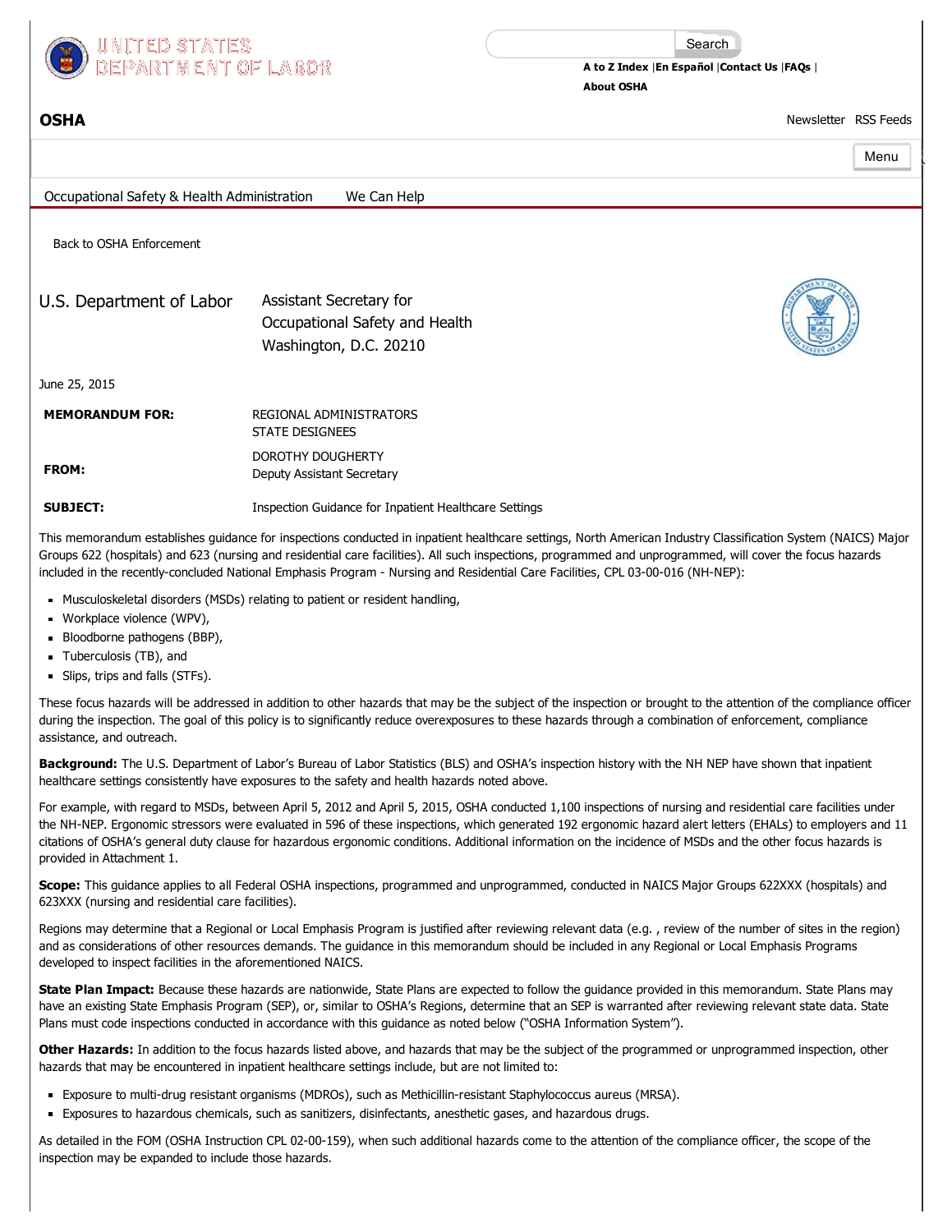

Search

A to Z [Index](https://www.osha.gov/html/a-z-index.html) |En [Español](https://www.osha.gov/spanish/index.html) [|Contact](https://www.osha.gov/html/Feed_Back.html) Us |[FAQs](https://www.osha.gov/OSHA_FAQs.html) | [About](https://www.osha.gov/about.html) OSHA

[OSHA](https://www.osha.gov/index.html) [Newsletter](https://www.osha.gov/as/opa/quicktakes/index.html) RSS [Feeds](https://www.osha.gov/rss/index.html)

|                                                            |                                                                                     | Menu |  |
|------------------------------------------------------------|-------------------------------------------------------------------------------------|------|--|
| Occupational Safety & Health Administration<br>We Can Help |                                                                                     |      |  |
| Back to OSHA Enforcement                                   |                                                                                     |      |  |
| U.S. Department of Labor                                   | Assistant Secretary for<br>Occupational Safety and Health<br>Washington, D.C. 20210 |      |  |
| June 25, 2015                                              |                                                                                     |      |  |
| <b>MEMORANDUM FOR:</b>                                     | REGIONAL ADMINISTRATORS<br><b>STATE DESIGNEES</b>                                   |      |  |
| FROM:                                                      | DOROTHY DOUGHERTY<br>Deputy Assistant Secretary                                     |      |  |
| <b>SUBJECT:</b>                                            | Inspection Guidance for Inpatient Healthcare Settings                               |      |  |

This memorandum establishes guidance for inspections conducted in inpatient healthcare settings, North American Industry Classification System (NAICS) Major Groups 622 (hospitals) and 623 (nursing and residential care facilities). All such inspections, programmed and unprogrammed, will cover the focus hazards included in the recently-concluded National Emphasis Program - Nursing and Residential Care Facilities, CPL 03-00-016 (NH-NEP):

- Musculoskeletal disorders (MSDs) relating to patient or resident handling,
- Workplace violence (WPV),
- Bloodborne pathogens (BBP),
- Tuberculosis (TB), and
- Slips, trips and falls (STFs).

These focus hazards will be addressed in addition to other hazards that may be the subject of the inspection or brought to the attention of the compliance officer during the inspection. The goal of this policy is to significantly reduce overexposures to these hazards through a combination of enforcement, compliance assistance, and outreach.

Background: The U.S. Department of Labor's Bureau of Labor Statistics (BLS) and OSHA's inspection history with the NH NEP have shown that inpatient healthcare settings consistently have exposures to the safety and health hazards noted above.

For example, with regard to MSDs, between April 5, 2012 and April 5, 2015, OSHA conducted 1,100 inspections of nursing and residential care facilities under the NH-NEP. Ergonomic stressors were evaluated in 596 of these inspections, which generated 192 ergonomic hazard alert letters (EHALs) to employers and 11 citations of OSHA's general duty clause for hazardous ergonomic conditions. Additional information on the incidence of MSDs and the other focus hazards is provided in Attachment 1.

Scope: This guidance applies to all Federal OSHA inspections, programmed and unprogrammed, conducted in NAICS Major Groups 622XXX (hospitals) and 623XXX (nursing and residential care facilities).

Regions may determine that a Regional or Local Emphasis Program is justified after reviewing relevant data (e.g. , review of the number of sites in the region) and as considerations of other resources demands. The guidance in this memorandum should be included in any Regional or Local Emphasis Programs developed to inspect facilities in the aforementioned NAICS.

State Plan Impact: Because these hazards are nationwide, State Plans are expected to follow the quidance provided in this memorandum. State Plans may have an existing State Emphasis Program (SEP), or, similar to OSHA's Regions, determine that an SEP is warranted after reviewing relevant state data. State Plans must code inspections conducted in accordance with this guidance as noted below ("OSHA Information System").

Other Hazards: In addition to the focus hazards listed above, and hazards that may be the subject of the programmed or unprogrammed inspection, other hazards that may be encountered in inpatient healthcare settings include, but are not limited to:

- " Exposure to multi-drug resistant organisms (MDROs), such as Methicillin-resistant Staphylococcus aureus (MRSA).
- Exposures to hazardous chemicals, such as sanitizers, disinfectants, anesthetic gases, and hazardous drugs.

As detailed in the FOM (OSHA Instruction CPL 02-00-159), when such additional hazards come to the attention of the compliance officer, the scope of the inspection may be expanded to include those hazards.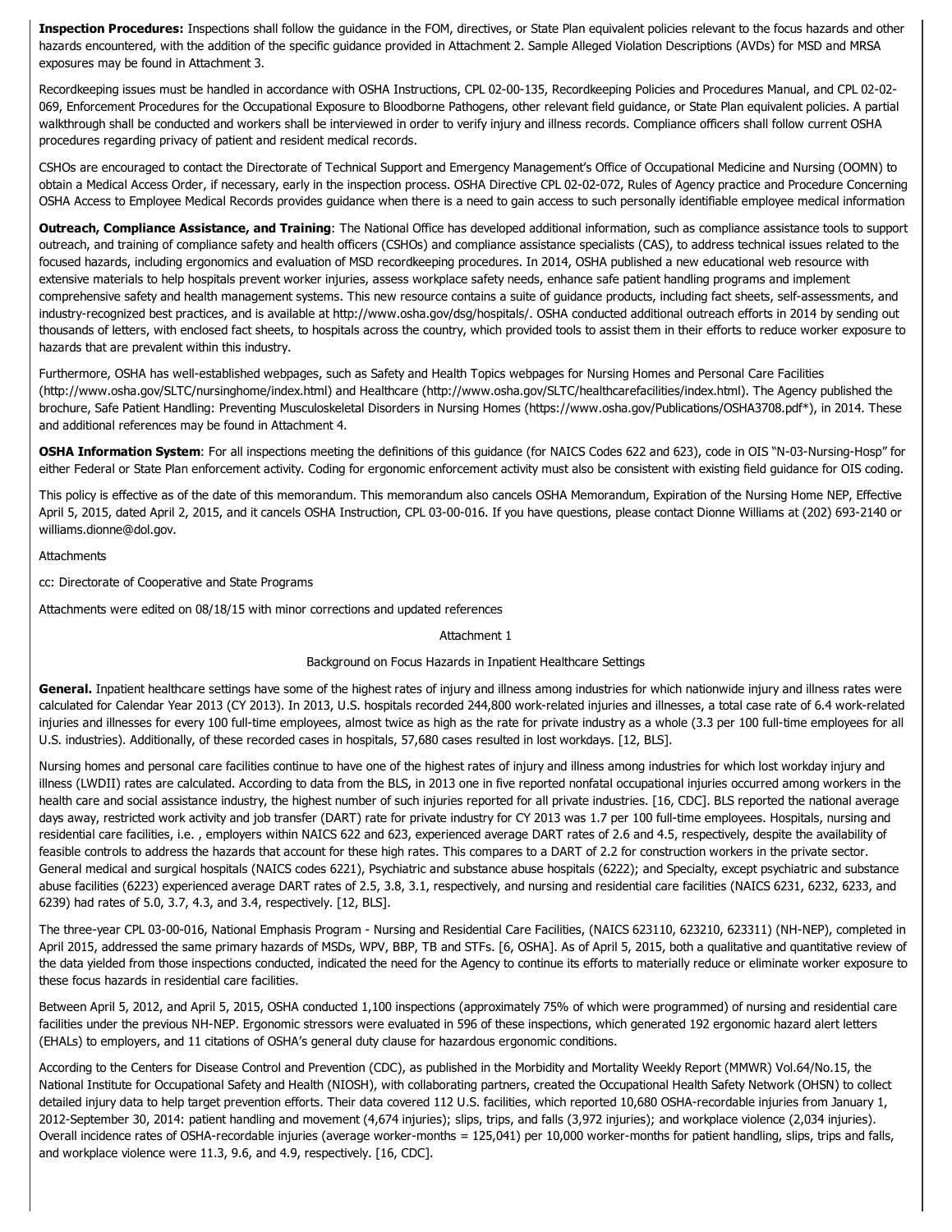Inspection Procedures: Inspections shall follow the quidance in the FOM, directives, or State Plan equivalent policies relevant to the focus hazards and other hazards encountered, with the addition of the specific guidance provided in Attachment 2. Sample Alleged Violation Descriptions (AVDs) for MSD and MRSA exposures may be found in Attachment 3.

[Recordkeeping](https://www.osha.gov/pls/oshaweb/owadisp.show_document?p_table=DIRECTIVES&p_id=2570) issues must be handled in accordance with OSHA Instructions, CPL 02-00-135, Recordkeeping Policies and Procedures Manual, and CPL 02-02-069, Enforcement Procedures for the Occupational Exposure to Bloodborne Pathogens, other relevant field guidance, or State Plan equivalent policies. A partial walkthrough shall be conducted and workers shall be interviewed in order to verify injury and illness records. Compliance officers shall follow current OSHA procedures regarding privacy of patient and resident medical records.

CSHOs are encouraged to contact the Directorate of Technical Support and Emergency Management's Office of Occupational Medicine and Nursing (OOMN) to obtain a Medical Access Order, if necessary, early in the inspection process. OSHA Directive CPL 02-02-072, Rules of Agency practice and Procedure Concerning OSHA Access to Employee Medical Records provides guidance when there is a need to gain access to such personally identifiable employee medical information

Outreach, Compliance Assistance, and Training: The National Office has developed additional information, such as compliance assistance tools to support outreach, and training of compliance safety and health officers (CSHOs) and compliance assistance specialists (CAS), to address technical issues related to the focused hazards, including ergonomics and evaluation of MSD recordkeeping procedures. In 2014, OSHA published a new educational web resource with extensive materials to help hospitals prevent worker injuries, assess workplace safety needs, enhance safe patient handling programs and implement comprehensive safety and health management systems. This new resource contains a suite of guidance products, including fact sheets, self-assessments, and industry-recognized best practices, and is available at [http://www.osha.gov/dsg/hospitals/.](https://www.osha.gov/dsg/hospitals/) OSHA conducted additional outreach efforts in 2014 by sending out thousands of letters, with enclosed fact sheets, to hospitals across the country, which provided tools to assist them in their efforts to reduce worker exposure to hazards that are prevalent within this industry.

Furthermore, OSHA has well-established webpages, such as Safety and Health Topics webpages for Nursing Homes and Personal Care Facilities [\(http://www.osha.gov/SLTC/nursinghome/index.html](https://www.osha.gov/SLTC/nursinghome/index.html)) and Healthcare [\(http://www.osha.gov/SLTC/healthcarefacilities/index.html\)](https://www.osha.gov/SLTC/healthcarefacilities/index.html). The Agency published the brochure, Safe Patient Handling: Preventing Musculoskeletal Disorders in Nursing Homes (<https://www.osha.gov/Publications/OSHA3708.pdf>\*), in 2014. These and additional references may be found in Attachment 4.

OSHA Information System: For all inspections meeting the definitions of this quidance (for NAICS Codes 622 and 623), code in OIS "N-03-Nursing-Hosp" for either Federal or State Plan enforcement activity. Coding for ergonomic enforcement activity must also be consistent with existing field guidance for OIS coding.

This policy is effective as of the date of this memorandum. This memorandum also cancels OSHA Memorandum, Expiration of the Nursing Home NEP, Effective April 5, 2015, dated April 2, 2015, and it cancels OSHA Instruction, CPL 03-00-016. If you have questions, please contact Dionne Williams at (202) 693-2140 or williams.dionne@dol.gov.

## **Attachments**

cc: Directorate of Cooperative and State Programs

Attachments were edited on 08/18/15 with minor corrections and updated references

Attachment 1

# Background on Focus Hazards in Inpatient Healthcare Settings

General. Inpatient healthcare settings have some of the highest rates of injury and illness among industries for which nationwide injury and illness rates were calculated for Calendar Year 2013 (CY 2013). In 2013, U.S. hospitals recorded 244,800 workrelated injuries and illnesses, a total case rate of 6.4 workrelated injuries and illnesses for every 100 full-time employees, almost twice as high as the rate for private industry as a whole (3.3 per 100 full-time employees for all U.S. industries). Additionally, of these recorded cases in hospitals, 57,680 cases resulted in lost workdays. [12, BLS].

Nursing homes and personal care facilities continue to have one of the highest rates of injury and illness among industries for which lost workday injury and illness (LWDII) rates are calculated. According to data from the BLS, in 2013 one in five reported nonfatal occupational injuries occurred among workers in the health care and social assistance industry, the highest number of such injuries reported for all private industries. [16, CDC]. BLS reported the national average days away, restricted work activity and job transfer (DART) rate for private industry for CY 2013 was 1.7 per 100 full-time employees. Hospitals, nursing and residential care facilities, i.e. , employers within NAICS 622 and 623, experienced average DART rates of 2.6 and 4.5, respectively, despite the availability of feasible controls to address the hazards that account for these high rates. This compares to a DART of 2.2 for construction workers in the private sector. General medical and surgical hospitals (NAICS codes 6221), Psychiatric and substance abuse hospitals (6222); and Specialty, except psychiatric and substance abuse facilities (6223) experienced average DART rates of 2.5, 3.8, 3.1, respectively, and nursing and residential care facilities (NAICS 6231, 6232, 6233, and 6239) had rates of 5.0, 3.7, 4.3, and 3.4, respectively. [12, BLS].

The three-year CPL 03-00-016, National Emphasis Program - Nursing and Residential Care Facilities, (NAICS 623110, 623210, 623311) (NH-NEP), completed in April 2015, addressed the same primary hazards of MSDs, WPV, BBP, TB and STFs. [6, OSHA]. As of April 5, 2015, both a qualitative and quantitative review of the data yielded from those inspections conducted, indicated the need for the Agency to continue its efforts to materially reduce or eliminate worker exposure to these focus hazards in residential care facilities.

Between April 5, 2012, and April 5, 2015, OSHA conducted 1,100 inspections (approximately 75% of which were programmed) of nursing and residential care facilities under the previous NH-NEP. Ergonomic stressors were evaluated in 596 of these inspections, which generated 192 ergonomic hazard alert letters (EHALs) to employers, and 11 citations of OSHA's general duty clause for hazardous ergonomic conditions.

According to the Centers for Disease Control and Prevention (CDC), as published in the Morbidity and Mortality Weekly Report (MMWR) Vol.64/No.15, the National Institute for Occupational Safety and Health (NIOSH), with collaborating partners, created the Occupational Health Safety Network (OHSN) to collect detailed injury data to help target prevention efforts. Their data covered 112 U.S. facilities, which reported 10,680 OSHA-recordable injuries from January 1, 2012-September 30, 2014: patient handling and movement (4,674 injuries); slips, trips, and falls (3,972 injuries); and workplace violence (2,034 injuries). Overall incidence rates of OSHA-recordable injuries (average worker-months = 125,041) per 10,000 worker-months for patient handling, slips, trips and falls, and workplace violence were 11.3, 9.6, and 4.9, respectively. [16, CDC].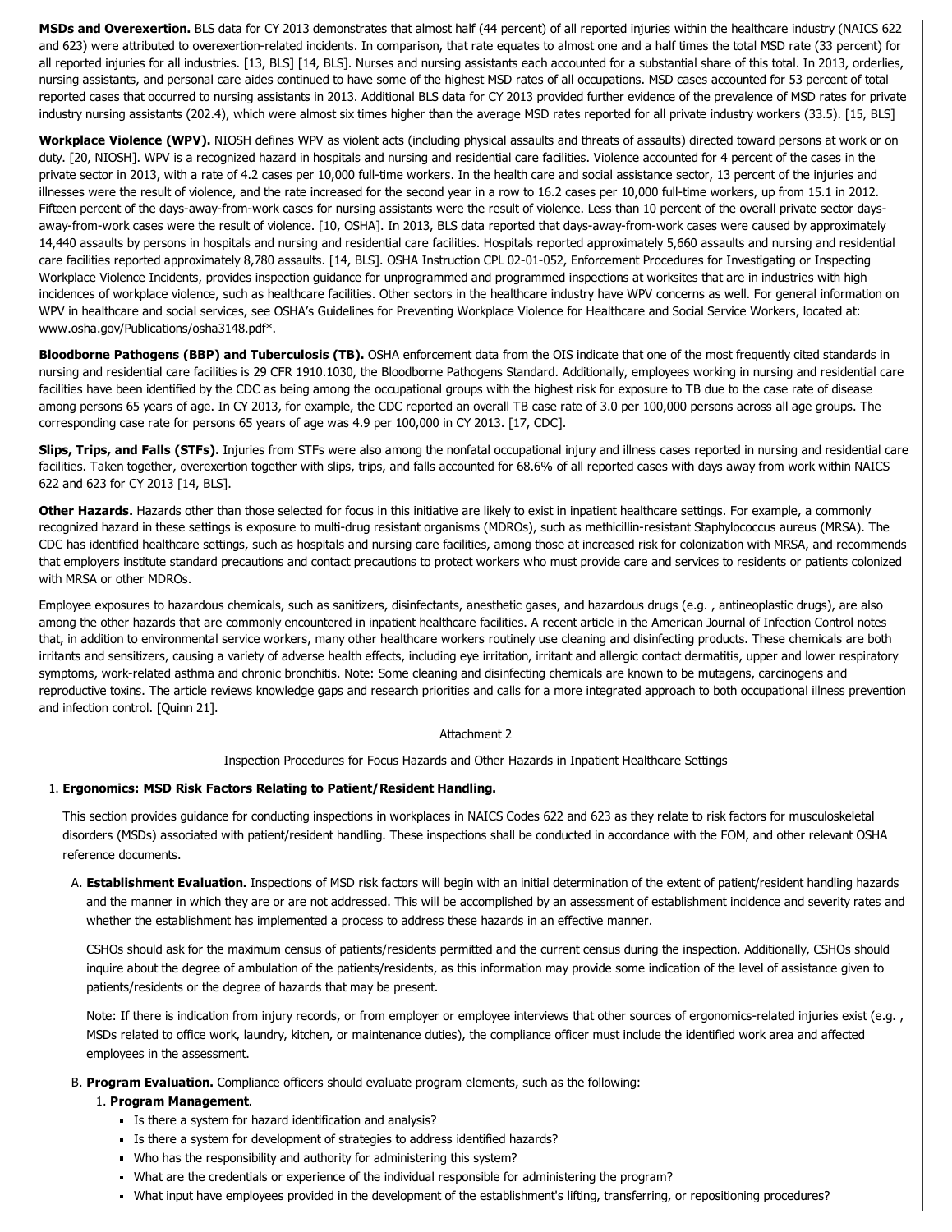MSDs and Overexertion. BLS data for CY 2013 demonstrates that almost half (44 percent) of all reported injuries within the healthcare industry (NAICS 622 and 623) were attributed to overexertion-related incidents. In comparison, that rate equates to almost one and a half times the total MSD rate (33 percent) for all reported injuries for all industries. [13, BLS] [14, BLS]. Nurses and nursing assistants each accounted for a substantial share of this total. In 2013, orderlies, nursing assistants, and personal care aides continued to have some of the highest MSD rates of all occupations. MSD cases accounted for 53 percent of total reported cases that occurred to nursing assistants in 2013. Additional BLS data for CY 2013 provided further evidence of the prevalence of MSD rates for private industry nursing assistants (202.4), which were almost six times higher than the average MSD rates reported for all private industry workers (33.5). [15, BLS]

Workplace Violence (WPV). NIOSH defines WPV as violent acts (including physical assaults and threats of assaults) directed toward persons at work or on duty. [20, NIOSH]. WPV is a recognized hazard in hospitals and nursing and residential care facilities. Violence accounted for 4 percent of the cases in the private sector in 2013, with a rate of 4.2 cases per 10,000 full-time workers. In the health care and social assistance sector, 13 percent of the injuries and illnesses were the result of violence, and the rate increased for the second year in a row to 16.2 cases per 10,000 full-time workers, up from 15.1 in 2012. Fifteen percent of the days-away-from-work cases for nursing assistants were the result of violence. Less than 10 percent of the overall private sector daysaway-from-work cases were the result of violence. [10, OSHA]. In 2013, BLS data reported that days-away-from-work cases were caused by approximately 14,440 assaults by persons in hospitals and nursing and residential care facilities. Hospitals reported approximately 5,660 assaults and nursing and residential care facilities reported approximately 8,780 assaults. [14, BLS]. OSHA Instruction CPL 02-01-052, Enforcement Procedures for Investigating or Inspecting Workplace Violence Incidents, provides inspection guidance for unprogrammed and programmed inspections at worksites that are in industries with high incidences of workplace violence, such as healthcare facilities. Other sectors in the healthcare industry have WPV concerns as well. For general information on WPV in healthcare and social services, see OSHA's Guidelines for Preventing Workplace Violence for Healthcare and Social Service Workers, located at: [www.osha.gov/Publications/osha3148.pdf\\*](https://www.osha.gov/Publications/osha3148.pdf).

Bloodborne Pathogens (BBP) and Tuberculosis (TB). OSHA enforcement data from the OIS indicate that one of the most frequently cited standards in nursing and residential care facilities is 29 CFR 1910.1030, the Bloodborne Pathogens Standard. Additionally, employees working in nursing and residential care facilities have been identified by the CDC as being among the occupational groups with the highest risk for exposure to TB due to the case rate of disease among persons 65 years of age. In CY 2013, for example, the CDC reported an overall TB case rate of 3.0 per 100,000 persons across all age groups. The corresponding case rate for persons 65 years of age was 4.9 per 100,000 in CY 2013. [17, CDC].

Slips, Trips, and Falls (STFs). Injuries from STFs were also among the nonfatal occupational injury and illness cases reported in nursing and residential care facilities. Taken together, overexertion together with slips, trips, and falls accounted for 68.6% of all reported cases with days away from work within NAICS 622 and 623 for CY 2013 [14, BLS].

Other Hazards. Hazards other than those selected for focus in this initiative are likely to exist in inpatient healthcare settings. For example, a commonly recognized hazard in these settings is exposure to multi-drug resistant organisms (MDROs), such as methicillin-resistant Staphylococcus aureus (MRSA). The CDC has identified healthcare settings, such as hospitals and nursing care facilities, among those at increased risk for colonization with MRSA, and recommends that employers institute standard precautions and contact precautions to protect workers who must provide care and services to residents or patients colonized with MRSA or other MDROs.

Employee exposures to hazardous chemicals, such as sanitizers, disinfectants, anesthetic gases, and hazardous drugs (e.g. , antineoplastic drugs), are also among the other hazards that are commonly encountered in inpatient healthcare facilities. A recent article in the American Journal of Infection Control notes that, in addition to environmental service workers, many other healthcare workers routinely use cleaning and disinfecting products. These chemicals are both irritants and sensitizers, causing a variety of adverse health effects, including eye irritation, irritant and allergic contact dermatitis, upper and lower respiratory symptoms, workrelated asthma and chronic bronchitis. Note: Some cleaning and disinfecting chemicals are known to be mutagens, carcinogens and reproductive toxins. The article reviews knowledge gaps and research priorities and calls for a more integrated approach to both occupational illness prevention and infection control. [Quinn 21].

### Attachment 2

Inspection Procedures for Focus Hazards and Other Hazards in Inpatient Healthcare Settings

## 1. Ergonomics: MSD Risk Factors Relating to Patient/Resident Handling.

This section provides guidance for conducting inspections in workplaces in NAICS Codes 622 and 623 as they relate to risk factors for musculoskeletal disorders (MSDs) associated with patient/resident handling. These inspections shall be conducted in accordance with the FOM, and other relevant OSHA reference documents.

A. Establishment Evaluation. Inspections of MSD risk factors will begin with an initial determination of the extent of patient/resident handling hazards and the manner in which they are or are not addressed. This will be accomplished by an assessment of establishment incidence and severity rates and whether the establishment has implemented a process to address these hazards in an effective manner.

CSHOs should ask for the maximum census of patients/residents permitted and the current census during the inspection. Additionally, CSHOs should inquire about the degree of ambulation of the patients/residents, as this information may provide some indication of the level of assistance given to patients/residents or the degree of hazards that may be present.

Note: If there is indication from injury records, or from employer or employee interviews that other sources of ergonomics-related injuries exist (e.g., MSDs related to office work, laundry, kitchen, or maintenance duties), the compliance officer must include the identified work area and affected employees in the assessment.

#### B. Program Evaluation. Compliance officers should evaluate program elements, such as the following:

### 1. Program Management.

- Is there a system for hazard identification and analysis?
- Is there a system for development of strategies to address identified hazards?
- Who has the responsibility and authority for administering this system?
- What are the credentials or experience of the individual responsible for administering the program?
- What input have employees provided in the development of the establishment's lifting, transferring, or repositioning procedures?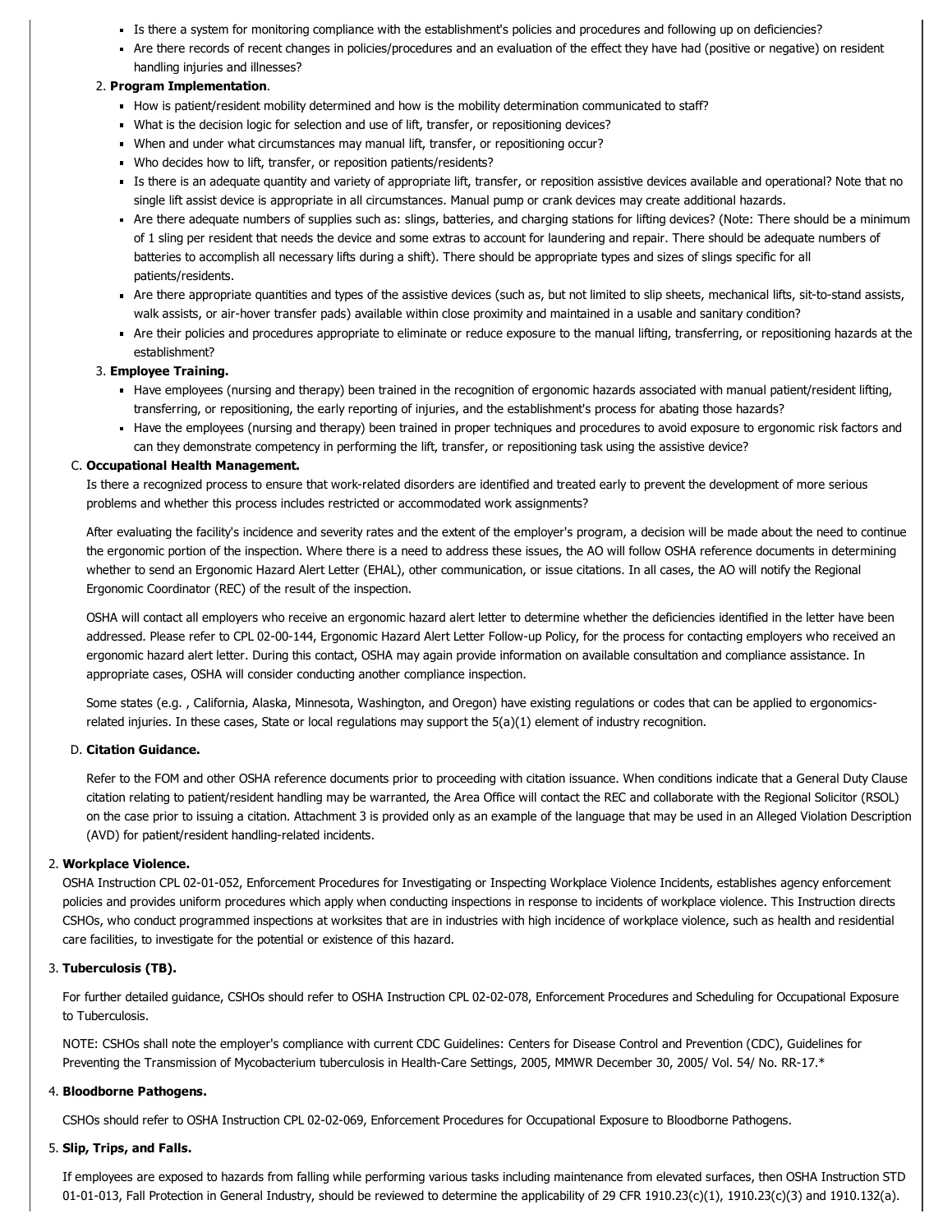- Is there a system for monitoring compliance with the establishment's policies and procedures and following up on deficiencies?
- Are there records of recent changes in policies/procedures and an evaluation of the effect they have had (positive or negative) on resident handling injuries and illnesses?

## 2. Program Implementation.

- How is patient/resident mobility determined and how is the mobility determination communicated to staff?
- What is the decision logic for selection and use of lift, transfer, or repositioning devices?
- When and under what circumstances may manual lift, transfer, or repositioning occur?
- Who decides how to lift, transfer, or reposition patients/residents?
- Is there is an adequate quantity and variety of appropriate lift, transfer, or reposition assistive devices available and operational? Note that no single lift assist device is appropriate in all circumstances. Manual pump or crank devices may create additional hazards.
- Are there adequate numbers of supplies such as: slings, batteries, and charging stations for lifting devices? (Note: There should be a minimum of 1 sling per resident that needs the device and some extras to account for laundering and repair. There should be adequate numbers of batteries to accomplish all necessary lifts during a shift). There should be appropriate types and sizes of slings specific for all patients/residents.
- Are there appropriate quantities and types of the assistive devices (such as, but not limited to slip sheets, mechanical lifts, sit-to-stand assists, walk assists, or air-hover transfer pads) available within close proximity and maintained in a usable and sanitary condition?
- Are their policies and procedures appropriate to eliminate or reduce exposure to the manual lifting, transferring, or repositioning hazards at the establishment?

## 3. Employee Training.

- Have employees (nursing and therapy) been trained in the recognition of ergonomic hazards associated with manual patient/resident lifting, transferring, or repositioning, the early reporting of injuries, and the establishment's process for abating those hazards?
- Have the employees (nursing and therapy) been trained in proper techniques and procedures to avoid exposure to ergonomic risk factors and can they demonstrate competency in performing the lift, transfer, or repositioning task using the assistive device?

## C. Occupational Health Management.

Is there a recognized process to ensure that work-related disorders are identified and treated early to prevent the development of more serious problems and whether this process includes restricted or accommodated work assignments?

After evaluating the facility's incidence and severity rates and the extent of the employer's program, a decision will be made about the need to continue the ergonomic portion of the inspection. Where there is a need to address these issues, the AO will follow OSHA reference documents in determining whether to send an Ergonomic Hazard Alert Letter (EHAL), other communication, or issue citations. In all cases, the AO will notify the Regional Ergonomic Coordinator (REC) of the result of the inspection.

OSHA will contact all employers who receive an ergonomic hazard alert letter to determine whether the deficiencies identified in the letter have been addressed. Please refer to CPL 02-00-144, Ergonomic Hazard Alert Letter Follow-up Policy, for the process for contacting employers who received an ergonomic hazard alert letter. During this contact, OSHA may again provide information on available consultation and compliance assistance. In appropriate cases, OSHA will consider conducting another compliance inspection.

Some states (e.g. , California, Alaska, Minnesota, Washington, and Oregon) have existing regulations or codes that can be applied to ergonomicsrelated injuries. In these cases, State or local regulations may support the 5(a)(1) element of industry recognition.

## D. Citation Guidance.

Refer to the FOM and other OSHA reference documents prior to proceeding with citation issuance. When conditions indicate that a General Duty Clause citation relating to patient/resident handling may be warranted, the Area Office will contact the REC and collaborate with the Regional Solicitor (RSOL) on the case prior to issuing a citation. Attachment 3 is provided only as an example of the language that may be used in an Alleged Violation Description (AVD) for patient/resident handling-related incidents.

### 2. Workplace Violence.

OSHA Instruction CPL 02-01-052, Enforcement Procedures for Investigating or Inspecting Workplace Violence Incidents, establishes agency enforcement policies and provides uniform procedures which apply when conducting inspections in response to incidents of workplace violence. This Instruction directs CSHOs, who conduct programmed inspections at worksites that are in industries with high incidence of workplace violence, such as health and residential care facilities, to investigate for the potential or existence of this hazard.

# 3. Tuberculosis (TB).

For further detailed quidance, CSHOs should refer to OSHA Instruction CPL 02-02-078, Enforcement Procedures and Scheduling for Occupational Exposure to Tuberculosis.

NOTE: CSHOs shall note the employer's compliance with current CDC Guidelines: Centers for Disease Control and Prevention (CDC), Guidelines for Preventing the Transmission of [Mycobacterium](http://www.cdc.gov/mmwr/pdf/rr/rr5417.pdf) tuberculosis in Health-Care Settings, 2005, MMWR December 30, 2005/ Vol. 54/ No. RR-17.\*

### 4. Bloodborne Pathogens.

CSHOs should refer to OSHA Instruction CPL 02-02-069, Enforcement Procedures for Occupational Exposure to Bloodborne Pathogens.

### 5. Slip, Trips, and Falls.

If employees are exposed to hazards from falling while performing various tasks including maintenance from elevated surfaces, then OSHA Instruction STD 01-01-013, Fall Protection in General Industry, should be reviewed to determine the applicability of 29 CFR [1910.23\(c\)\(1\),](https://www.osha.gov/pls/oshaweb/owadisp.show_document?p_table=DIRECTIVES&p_id=1755) 1910.23(c)(3) and 1910.132(a).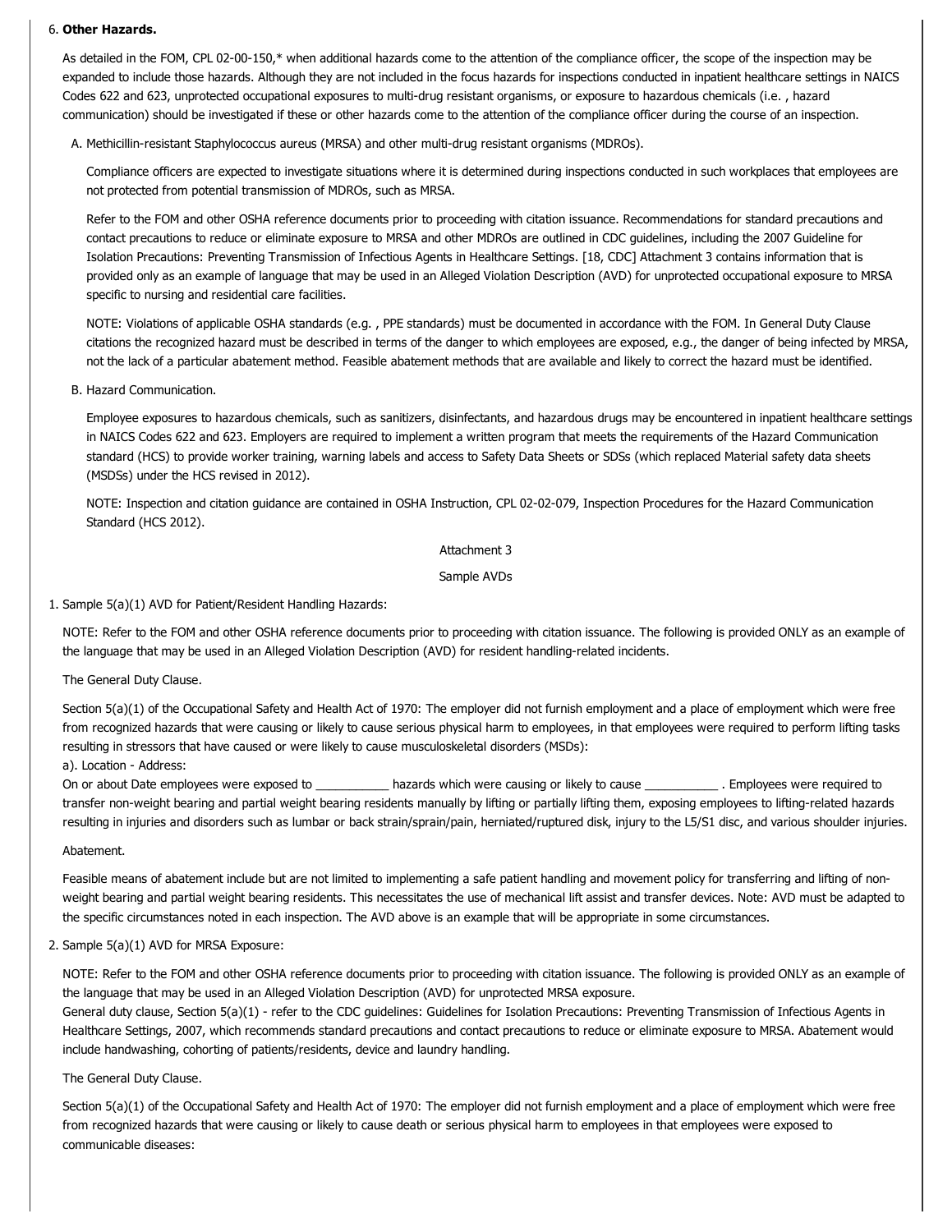### 6. Other Hazards.

As detailed in the FOM, CPL 02-00-150,\* when additional hazards come to the attention of the compliance officer, the scope of the inspection may be expanded to include those hazards. Although they are not included in the focus hazards for inspections conducted in inpatient healthcare settings in NAICS Codes 622 and 623, unprotected occupational exposures to multi-drug resistant organisms, or exposure to hazardous chemicals (i.e., hazard communication) should be investigated if these or other hazards come to the attention of the compliance officer during the course of an inspection.

A. Methicillin-resistant Staphylococcus aureus (MRSA) and other multi-drug resistant organisms (MDROs).

Compliance officers are expected to investigate situations where it is determined during inspections conducted in such workplaces that employees are not protected from potential transmission of MDROs, such as MRSA.

Refer to the FOM and other OSHA reference documents prior to proceeding with citation issuance. Recommendations for standard precautions and contact precautions to reduce or eliminate exposure to MRSA and other MDROs are outlined in CDC guidelines, including the 2007 Guideline for Isolation Precautions: Preventing Transmission of Infectious Agents in Healthcare Settings. [18, CDC] Attachment 3 contains information that is provided only as an example of language that may be used in an Alleged Violation Description (AVD) for unprotected occupational exposure to MRSA specific to nursing and residential care facilities.

NOTE: Violations of applicable OSHA standards (e.g. , PPE standards) must be documented in accordance with the FOM. In General Duty Clause citations the recognized hazard must be described in terms of the danger to which employees are exposed, e.g., the danger of being infected by MRSA, not the lack of a particular abatement method. Feasible abatement methods that are available and likely to correct the hazard must be identified.

### B. Hazard Communication.

Employee exposures to hazardous chemicals, such as sanitizers, disinfectants, and hazardous drugs may be encountered in inpatient healthcare settings in NAICS Codes 622 and 623. Employers are required to implement a written program that meets the requirements of the Hazard Communication standard (HCS) to provide worker training, warning labels and access to Safety Data Sheets or SDSs (which replaced Material safety data sheets (MSDSs) under the HCS revised in 2012).

NOTE: Inspection and citation quidance are contained in OSHA Instruction, CPL 02-02-079, Inspection Procedures for the Hazard Communication Standard (HCS 2012).

## Attachment 3

## Sample AVDs

1. Sample 5(a)(1) AVD for Patient/Resident Handling Hazards:

NOTE: Refer to the FOM and other OSHA reference documents prior to proceeding with citation issuance. The following is provided ONLY as an example of the language that may be used in an Alleged Violation Description (AVD) for resident handling-related incidents.

### The General Duty Clause.

Section 5(a)(1) of the Occupational Safety and Health Act of 1970: The employer did not furnish employment and a place of employment which were free from recognized hazards that were causing or likely to cause serious physical harm to employees, in that employees were required to perform lifting tasks resulting in stressors that have caused or were likely to cause musculoskeletal disorders (MSDs):

# a). Location - Address:

On or about Date employees were exposed to exposed to an azards which were causing or likely to cause the manufology . Employees were required to transfer non-weight bearing and partial weight bearing residents manually by lifting or partially lifting them, exposing employees to lifting-related hazards resulting in injuries and disorders such as lumbar or back strain/sprain/pain, herniated/ruptured disk, injury to the L5/S1 disc, and various shoulder injuries.

### Abatement.

Feasible means of abatement include but are not limited to implementing a safe patient handling and movement policy for transferring and lifting of nonweight bearing and partial weight bearing residents. This necessitates the use of mechanical lift assist and transfer devices. Note: AVD must be adapted to the specific circumstances noted in each inspection. The AVD above is an example that will be appropriate in some circumstances.

### 2. Sample 5(a)(1) AVD for MRSA Exposure:

NOTE: Refer to the FOM and other OSHA reference documents prior to proceeding with citation issuance. The following is provided ONLY as an example of the language that may be used in an Alleged Violation Description (AVD) for unprotected MRSA exposure.

General duty clause, Section 5(a)(1) refer to the CDC guidelines: Guidelines for Isolation Precautions: Preventing Transmission of Infectious Agents in Healthcare Settings, 2007, which recommends standard precautions and contact precautions to reduce or eliminate exposure to MRSA. Abatement would include handwashing, cohorting of patients/residents, device and laundry handling.

### The General Duty Clause.

Section 5(a)(1) of the Occupational Safety and Health Act of 1970: The employer did not furnish employment and a place of employment which were free from recognized hazards that were causing or likely to cause death or serious physical harm to employees in that employees were exposed to communicable diseases: